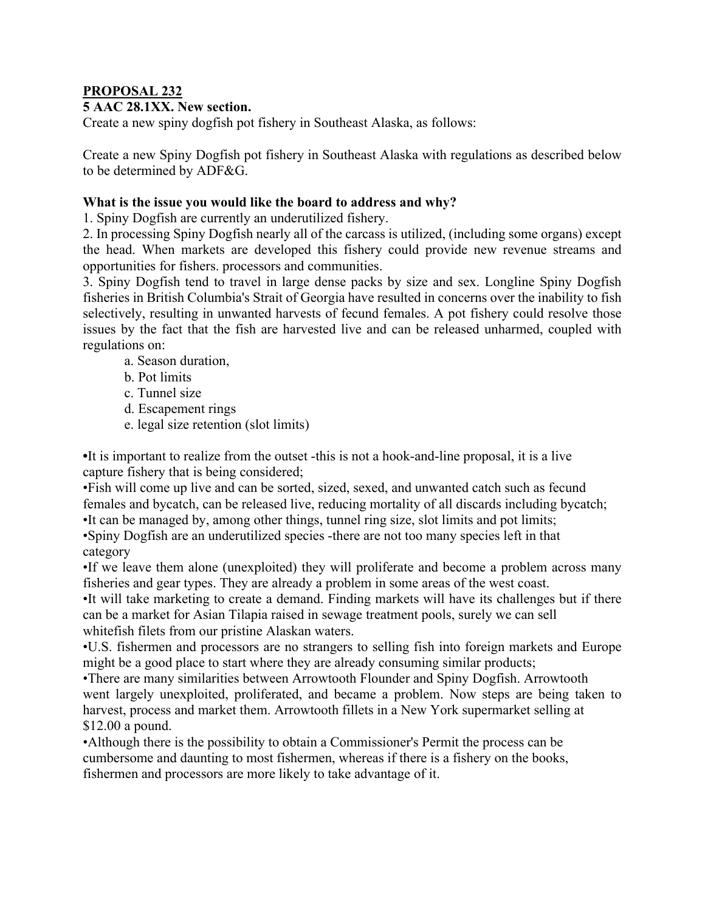## **PROPOSAL 232**

## **5 AAC 28.1XX. New section.**

Create a new spiny dogfish pot fishery in Southeast Alaska, as follows:

Create a new Spiny Dogfish pot fishery in Southeast Alaska with regulations as described below to be determined by ADF&G.

## **What is the issue you would like the board to address and why?**

1. Spiny Dogfish are currently an underutilized fishery.

2. In processing Spiny Dogfish nearly all of the carcass is utilized, (including some organs) except the head. When markets are developed this fishery could provide new revenue streams and opportunities for fishers. processors and communities.

3. Spiny Dogfish tend to travel in large dense packs by size and sex. Longline Spiny Dogfish fisheries in British Columbia's Strait of Georgia have resulted in concerns over the inability to fish selectively, resulting in unwanted harvests of fecund females. A pot fishery could resolve those issues by the fact that the fish are harvested live and can be released unharmed, coupled with regulations on:

- a. Season duration,
- b. Pot limits
- c. Tunnel size
- d. Escapement rings
- e. legal size retention (slot limits)

**•**It is important to realize from the outset -this is not a hook-and-line proposal, it is a live capture fishery that is being considered;

•Fish will come up live and can be sorted, sized, sexed, and unwanted catch such as fecund females and bycatch, can be released live, reducing mortality of all discards including bycatch;

•It can be managed by, among other things, tunnel ring size, slot limits and pot limits; •Spiny Dogfish are an underutilized species -there are not too many species left in that category

•If we leave them alone (unexploited) they will proliferate and become a problem across many fisheries and gear types. They are already a problem in some areas of the west coast.

•It will take marketing to create a demand. Finding markets will have its challenges but if there can be a market for Asian Tilapia raised in sewage treatment pools, surely we can sell whitefish filets from our pristine Alaskan waters.

•U.S. fishermen and processors are no strangers to selling fish into foreign markets and Europe might be a good place to start where they are already consuming similar products;

•There are many similarities between Arrowtooth Flounder and Spiny Dogfish. Arrowtooth went largely unexploited, proliferated, and became a problem. Now steps are being taken to harvest, process and market them. Arrowtooth fillets in a New York supermarket selling at \$12.00 a pound.

•Although there is the possibility to obtain a Commissioner's Permit the process can be cumbersome and daunting to most fishermen, whereas if there is a fishery on the books, fishermen and processors are more likely to take advantage of it.